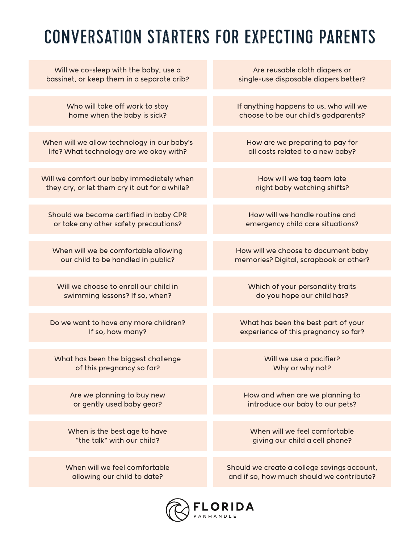## CONVERSATION STARTERS FOR EXPECTING PARENTS

| Will we co-sleep with the baby, use a         | Are reusable cloth diapers or               |
|-----------------------------------------------|---------------------------------------------|
| bassinet, or keep them in a separate crib?    | single-use disposable diapers better?       |
| Who will take off work to stay                | If anything happens to us, who will we      |
| home when the baby is sick?                   | choose to be our child's godparents?        |
| When will we allow technology in our baby's   | How are we preparing to pay for             |
| life? What technology are we okay with?       | all costs related to a new baby?            |
| Will we comfort our baby immediately when     | How will we tag team late                   |
| they cry, or let them cry it out for a while? | night baby watching shifts?                 |
| Should we become certified in baby CPR        | How will we handle routine and              |
| or take any other safety precautions?         | emergency child care situations?            |
| When will we be comfortable allowing          | How will we choose to document baby         |
| our child to be handled in public?            | memories? Digital, scrapbook or other?      |
| Will we choose to enroll our child in         | Which of your personality traits            |
| swimming lessons? If so, when?                | do you hope our child has?                  |
| Do we want to have any more children?         | What has been the best part of your         |
| If so, how many?                              | experience of this pregnancy so far?        |
| What has been the biggest challenge           | Will we use a pacifier?                     |
| of this pregnancy so far?                     | Why or why not?                             |
| Are we planning to buy new                    | How and when are we planning to             |
| or gently used baby gear?                     | introduce our baby to our pets?             |
| When is the best age to have                  | When will we feel comfortable               |
| "the talk" with our child?                    | giving our child a cell phone?              |
| When will we feel comfortable                 | Should we create a college savings account, |
| allowing our child to date?                   | and if so, how much should we contribute?   |